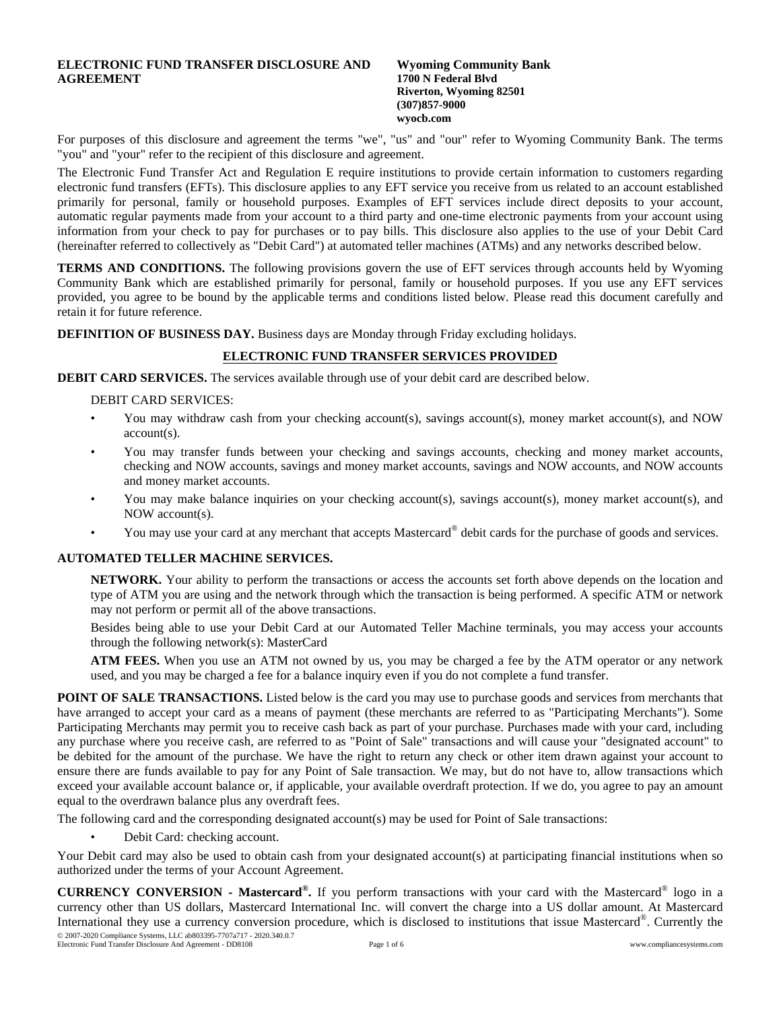# **ELECTRONIC FUND TRANSFER DISCLOSURE AND AGREEMENT**

#### **Wyoming Community Bank 1700 N Federal Blvd Riverton, Wyoming 82501 (307)857-9000 wyocb.com**

For purposes of this disclosure and agreement the terms "we", "us" and "our" refer to Wyoming Community Bank. The terms "you" and "your" refer to the recipient of this disclosure and agreement.

The Electronic Fund Transfer Act and Regulation E require institutions to provide certain information to customers regarding electronic fund transfers (EFTs). This disclosure applies to any EFT service you receive from us related to an account established primarily for personal, family or household purposes. Examples of EFT services include direct deposits to your account, automatic regular payments made from your account to a third party and one-time electronic payments from your account using information from your check to pay for purchases or to pay bills. This disclosure also applies to the use of your Debit Card (hereinafter referred to collectively as "Debit Card") at automated teller machines (ATMs) and any networks described below.

**TERMS AND CONDITIONS.** The following provisions govern the use of EFT services through accounts held by Wyoming Community Bank which are established primarily for personal, family or household purposes. If you use any EFT services provided, you agree to be bound by the applicable terms and conditions listed below. Please read this document carefully and retain it for future reference.

**DEFINITION OF BUSINESS DAY.** Business days are Monday through Friday excluding holidays.

### **ELECTRONIC FUND TRANSFER SERVICES PROVIDED**

**DEBIT CARD SERVICES.** The services available through use of your debit card are described below.

#### DEBIT CARD SERVICES:

- You may withdraw cash from your checking account(s), savings account(s), money market account(s), and NOW account(s).
- You may transfer funds between your checking and savings accounts, checking and money market accounts, checking and NOW accounts, savings and money market accounts, savings and NOW accounts, and NOW accounts and money market accounts.
- You may make balance inquiries on your checking account(s), savings account(s), money market account(s), and NOW account(s).
- You may use your card at any merchant that accepts Mastercard® debit cards for the purchase of goods and services.

### **AUTOMATED TELLER MACHINE SERVICES.**

**NETWORK.** Your ability to perform the transactions or access the accounts set forth above depends on the location and type of ATM you are using and the network through which the transaction is being performed. A specific ATM or network may not perform or permit all of the above transactions.

Besides being able to use your Debit Card at our Automated Teller Machine terminals, you may access your accounts through the following network(s): MasterCard

**ATM FEES.** When you use an ATM not owned by us, you may be charged a fee by the ATM operator or any network used, and you may be charged a fee for a balance inquiry even if you do not complete a fund transfer.

**POINT OF SALE TRANSACTIONS.** Listed below is the card you may use to purchase goods and services from merchants that have arranged to accept your card as a means of payment (these merchants are referred to as "Participating Merchants"). Some Participating Merchants may permit you to receive cash back as part of your purchase. Purchases made with your card, including any purchase where you receive cash, are referred to as "Point of Sale" transactions and will cause your "designated account" to be debited for the amount of the purchase. We have the right to return any check or other item drawn against your account to ensure there are funds available to pay for any Point of Sale transaction. We may, but do not have to, allow transactions which exceed your available account balance or, if applicable, your available overdraft protection. If we do, you agree to pay an amount equal to the overdrawn balance plus any overdraft fees.

The following card and the corresponding designated account(s) may be used for Point of Sale transactions:

• Debit Card: checking account.

Your Debit card may also be used to obtain cash from your designated account(s) at participating financial institutions when so authorized under the terms of your Account Agreement.

**CURRENCY CONVERSION - Mastercard® .** If you perform transactions with your card with the Mastercard® logo in a currency other than US dollars, Mastercard International Inc. will convert the charge into a US dollar amount. At Mastercard International they use a currency conversion procedure, which is disclosed to institutions that issue Mastercard®. Currently the © 2007-2020 Compliance Systems, LLC ab803395-7707a717 - 2020.340.0.7

Electronic Fund Transfer Disclosure And Agreement - DD8108 Page 1 of 6 www.compliancesystems.com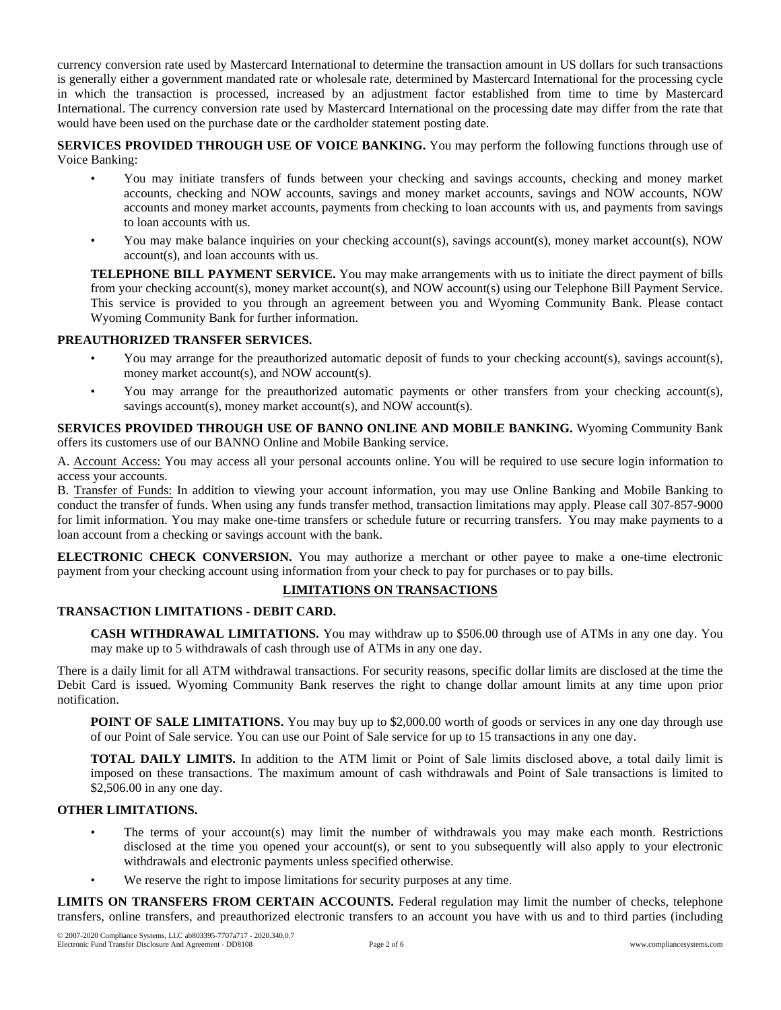currency conversion rate used by Mastercard International to determine the transaction amount in US dollars for such transactions is generally either a government mandated rate or wholesale rate, determined by Mastercard International for the processing cycle in which the transaction is processed, increased by an adjustment factor established from time to time by Mastercard International. The currency conversion rate used by Mastercard International on the processing date may differ from the rate that would have been used on the purchase date or the cardholder statement posting date.

**SERVICES PROVIDED THROUGH USE OF VOICE BANKING.** You may perform the following functions through use of Voice Banking:

- You may initiate transfers of funds between your checking and savings accounts, checking and money market accounts, checking and NOW accounts, savings and money market accounts, savings and NOW accounts, NOW accounts and money market accounts, payments from checking to loan accounts with us, and payments from savings to loan accounts with us.
- You may make balance inquiries on your checking account(s), savings account(s), money market account(s), NOW account(s), and loan accounts with us.

**TELEPHONE BILL PAYMENT SERVICE.** You may make arrangements with us to initiate the direct payment of bills from your checking account(s), money market account(s), and NOW account(s) using our Telephone Bill Payment Service. This service is provided to you through an agreement between you and Wyoming Community Bank. Please contact Wyoming Community Bank for further information.

## **PREAUTHORIZED TRANSFER SERVICES.**

- You may arrange for the preauthorized automatic deposit of funds to your checking account(s), savings account(s), money market account(s), and NOW account(s).
- You may arrange for the preauthorized automatic payments or other transfers from your checking account(s), savings account(s), money market account(s), and NOW account(s).

**SERVICES PROVIDED THROUGH USE OF BANNO ONLINE AND MOBILE BANKING.** Wyoming Community Bank offers its customers use of our BANNO Online and Mobile Banking service.

A. Account Access: You may access all your personal accounts online. You will be required to use secure login information to access your accounts.

B. Transfer of Funds: In addition to viewing your account information, you may use Online Banking and Mobile Banking to conduct the transfer of funds. When using any funds transfer method, transaction limitations may apply. Please call 307-857-9000 for limit information. You may make one-time transfers or schedule future or recurring transfers. You may make payments to a loan account from a checking or savings account with the bank.

**ELECTRONIC CHECK CONVERSION.** You may authorize a merchant or other payee to make a one-time electronic payment from your checking account using information from your check to pay for purchases or to pay bills.

## **LIMITATIONS ON TRANSACTIONS**

#### **TRANSACTION LIMITATIONS - DEBIT CARD.**

**CASH WITHDRAWAL LIMITATIONS.** You may withdraw up to \$506.00 through use of ATMs in any one day. You may make up to 5 withdrawals of cash through use of ATMs in any one day.

There is a daily limit for all ATM withdrawal transactions. For security reasons, specific dollar limits are disclosed at the time the Debit Card is issued. Wyoming Community Bank reserves the right to change dollar amount limits at any time upon prior notification.

**POINT OF SALE LIMITATIONS.** You may buy up to \$2,000.00 worth of goods or services in any one day through use of our Point of Sale service. You can use our Point of Sale service for up to 15 transactions in any one day.

**TOTAL DAILY LIMITS.** In addition to the ATM limit or Point of Sale limits disclosed above, a total daily limit is imposed on these transactions. The maximum amount of cash withdrawals and Point of Sale transactions is limited to \$2,506.00 in any one day.

### **OTHER LIMITATIONS.**

- The terms of your account(s) may limit the number of withdrawals you may make each month. Restrictions disclosed at the time you opened your account(s), or sent to you subsequently will also apply to your electronic withdrawals and electronic payments unless specified otherwise.
- We reserve the right to impose limitations for security purposes at any time.

**LIMITS ON TRANSFERS FROM CERTAIN ACCOUNTS.** Federal regulation may limit the number of checks, telephone transfers, online transfers, and preauthorized electronic transfers to an account you have with us and to third parties (including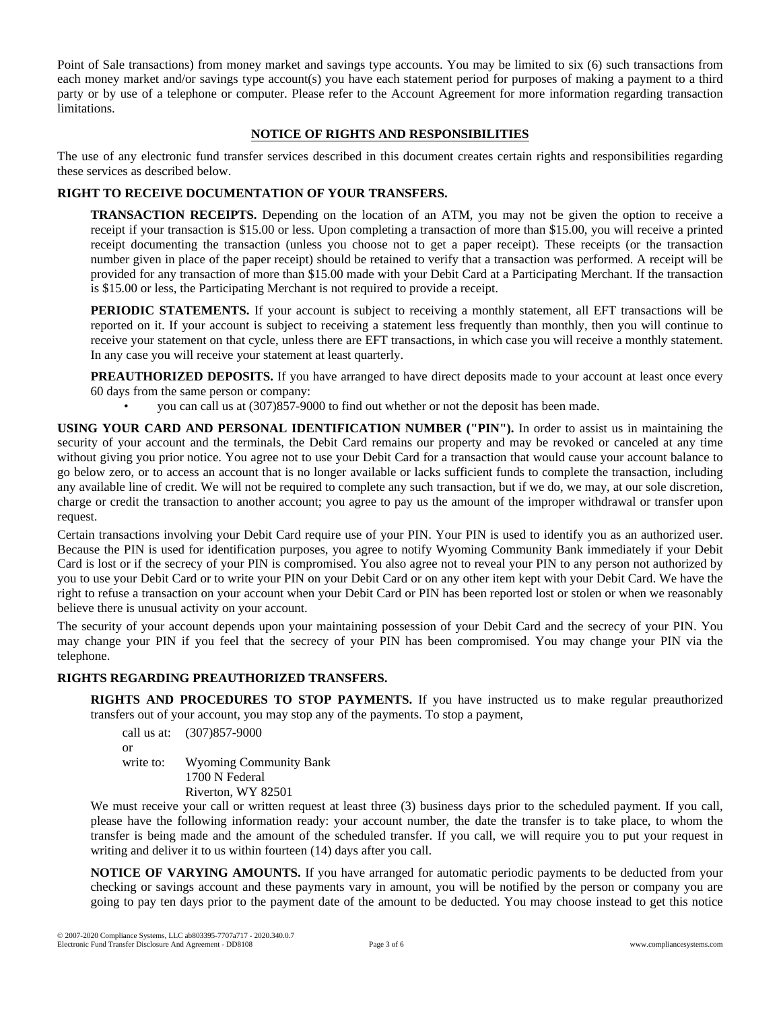Point of Sale transactions) from money market and savings type accounts. You may be limited to six (6) such transactions from each money market and/or savings type account(s) you have each statement period for purposes of making a payment to a third party or by use of a telephone or computer. Please refer to the Account Agreement for more information regarding transaction limitations.

## **NOTICE OF RIGHTS AND RESPONSIBILITIES**

The use of any electronic fund transfer services described in this document creates certain rights and responsibilities regarding these services as described below.

# **RIGHT TO RECEIVE DOCUMENTATION OF YOUR TRANSFERS.**

**TRANSACTION RECEIPTS.** Depending on the location of an ATM, you may not be given the option to receive a receipt if your transaction is \$15.00 or less. Upon completing a transaction of more than \$15.00, you will receive a printed receipt documenting the transaction (unless you choose not to get a paper receipt). These receipts (or the transaction number given in place of the paper receipt) should be retained to verify that a transaction was performed. A receipt will be provided for any transaction of more than \$15.00 made with your Debit Card at a Participating Merchant. If the transaction is \$15.00 or less, the Participating Merchant is not required to provide a receipt.

**PERIODIC STATEMENTS.** If your account is subject to receiving a monthly statement, all EFT transactions will be reported on it. If your account is subject to receiving a statement less frequently than monthly, then you will continue to receive your statement on that cycle, unless there are EFT transactions, in which case you will receive a monthly statement. In any case you will receive your statement at least quarterly.

**PREAUTHORIZED DEPOSITS.** If you have arranged to have direct deposits made to your account at least once every 60 days from the same person or company:

• you can call us at (307)857-9000 to find out whether or not the deposit has been made.

**USING YOUR CARD AND PERSONAL IDENTIFICATION NUMBER ("PIN").** In order to assist us in maintaining the security of your account and the terminals, the Debit Card remains our property and may be revoked or canceled at any time without giving you prior notice. You agree not to use your Debit Card for a transaction that would cause your account balance to go below zero, or to access an account that is no longer available or lacks sufficient funds to complete the transaction, including any available line of credit. We will not be required to complete any such transaction, but if we do, we may, at our sole discretion, charge or credit the transaction to another account; you agree to pay us the amount of the improper withdrawal or transfer upon request.

Certain transactions involving your Debit Card require use of your PIN. Your PIN is used to identify you as an authorized user. Because the PIN is used for identification purposes, you agree to notify Wyoming Community Bank immediately if your Debit Card is lost or if the secrecy of your PIN is compromised. You also agree not to reveal your PIN to any person not authorized by you to use your Debit Card or to write your PIN on your Debit Card or on any other item kept with your Debit Card. We have the right to refuse a transaction on your account when your Debit Card or PIN has been reported lost or stolen or when we reasonably believe there is unusual activity on your account.

The security of your account depends upon your maintaining possession of your Debit Card and the secrecy of your PIN. You may change your PIN if you feel that the secrecy of your PIN has been compromised. You may change your PIN via the telephone.

## **RIGHTS REGARDING PREAUTHORIZED TRANSFERS.**

**RIGHTS AND PROCEDURES TO STOP PAYMENTS.** If you have instructed us to make regular preauthorized transfers out of your account, you may stop any of the payments. To stop a payment,

call us at: (307)857-9000 or write to: Wyoming Community Bank 1700 N Federal Riverton, WY 82501

We must receive your call or written request at least three (3) business days prior to the scheduled payment. If you call, please have the following information ready: your account number, the date the transfer is to take place, to whom the transfer is being made and the amount of the scheduled transfer. If you call, we will require you to put your request in writing and deliver it to us within fourteen (14) days after you call.

**NOTICE OF VARYING AMOUNTS.** If you have arranged for automatic periodic payments to be deducted from your checking or savings account and these payments vary in amount, you will be notified by the person or company you are going to pay ten days prior to the payment date of the amount to be deducted. You may choose instead to get this notice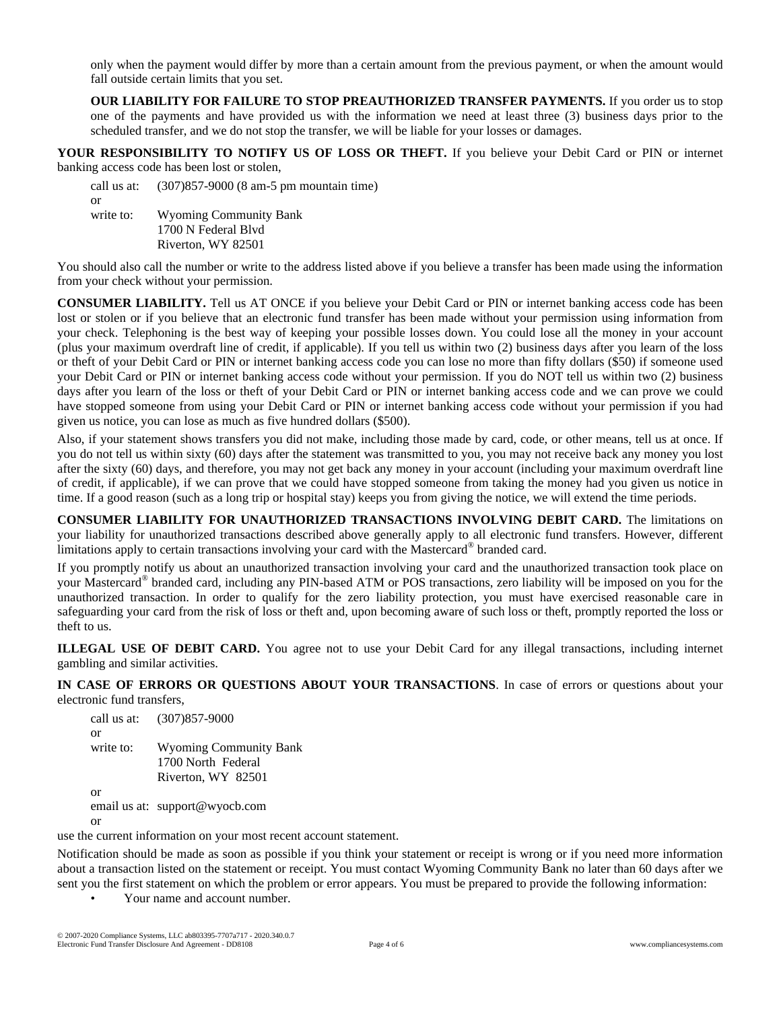only when the payment would differ by more than a certain amount from the previous payment, or when the amount would fall outside certain limits that you set.

**OUR LIABILITY FOR FAILURE TO STOP PREAUTHORIZED TRANSFER PAYMENTS.** If you order us to stop one of the payments and have provided us with the information we need at least three (3) business days prior to the scheduled transfer, and we do not stop the transfer, we will be liable for your losses or damages.

**YOUR RESPONSIBILITY TO NOTIFY US OF LOSS OR THEFT.** If you believe your Debit Card or PIN or internet banking access code has been lost or stolen,

call us at: (307)857-9000 (8 am-5 pm mountain time) or write to: Wyoming Community Bank 1700 N Federal Blvd Riverton, WY 82501

You should also call the number or write to the address listed above if you believe a transfer has been made using the information from your check without your permission.

**CONSUMER LIABILITY.** Tell us AT ONCE if you believe your Debit Card or PIN or internet banking access code has been lost or stolen or if you believe that an electronic fund transfer has been made without your permission using information from your check. Telephoning is the best way of keeping your possible losses down. You could lose all the money in your account (plus your maximum overdraft line of credit, if applicable). If you tell us within two (2) business days after you learn of the loss or theft of your Debit Card or PIN or internet banking access code you can lose no more than fifty dollars (\$50) if someone used your Debit Card or PIN or internet banking access code without your permission. If you do NOT tell us within two (2) business days after you learn of the loss or theft of your Debit Card or PIN or internet banking access code and we can prove we could have stopped someone from using your Debit Card or PIN or internet banking access code without your permission if you had given us notice, you can lose as much as five hundred dollars (\$500).

Also, if your statement shows transfers you did not make, including those made by card, code, or other means, tell us at once. If you do not tell us within sixty (60) days after the statement was transmitted to you, you may not receive back any money you lost after the sixty (60) days, and therefore, you may not get back any money in your account (including your maximum overdraft line of credit, if applicable), if we can prove that we could have stopped someone from taking the money had you given us notice in time. If a good reason (such as a long trip or hospital stay) keeps you from giving the notice, we will extend the time periods.

**CONSUMER LIABILITY FOR UNAUTHORIZED TRANSACTIONS INVOLVING DEBIT CARD.** The limitations on your liability for unauthorized transactions described above generally apply to all electronic fund transfers. However, different limitations apply to certain transactions involving your card with the Mastercard® branded card.

If you promptly notify us about an unauthorized transaction involving your card and the unauthorized transaction took place on your Mastercard® branded card, including any PIN-based ATM or POS transactions, zero liability will be imposed on you for the unauthorized transaction. In order to qualify for the zero liability protection, you must have exercised reasonable care in safeguarding your card from the risk of loss or theft and, upon becoming aware of such loss or theft, promptly reported the loss or theft to us.

**ILLEGAL USE OF DEBIT CARD.** You agree not to use your Debit Card for any illegal transactions, including internet gambling and similar activities.

**IN CASE OF ERRORS OR QUESTIONS ABOUT YOUR TRANSACTIONS**. In case of errors or questions about your electronic fund transfers,

call us at: (307)857-9000 or write to: Wyoming Community Bank 1700 North Federal Riverton, WY 82501 or email us at: support@wyocb.com

or

use the current information on your most recent account statement.

Notification should be made as soon as possible if you think your statement or receipt is wrong or if you need more information about a transaction listed on the statement or receipt. You must contact Wyoming Community Bank no later than 60 days after we sent you the first statement on which the problem or error appears. You must be prepared to provide the following information:

• Your name and account number.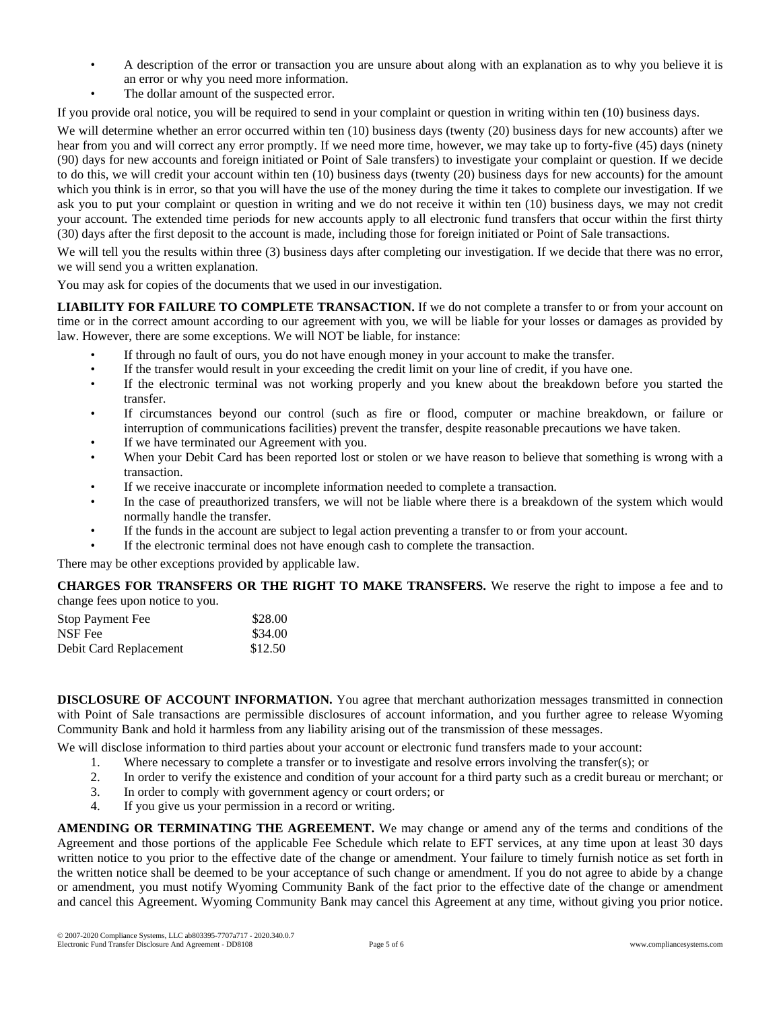- A description of the error or transaction you are unsure about along with an explanation as to why you believe it is an error or why you need more information.
- The dollar amount of the suspected error.

If you provide oral notice, you will be required to send in your complaint or question in writing within ten (10) business days.

We will determine whether an error occurred within ten (10) business days (twenty (20) business days for new accounts) after we hear from you and will correct any error promptly. If we need more time, however, we may take up to forty-five (45) days (ninety (90) days for new accounts and foreign initiated or Point of Sale transfers) to investigate your complaint or question. If we decide to do this, we will credit your account within ten (10) business days (twenty (20) business days for new accounts) for the amount which you think is in error, so that you will have the use of the money during the time it takes to complete our investigation. If we ask you to put your complaint or question in writing and we do not receive it within ten (10) business days, we may not credit your account. The extended time periods for new accounts apply to all electronic fund transfers that occur within the first thirty (30) days after the first deposit to the account is made, including those for foreign initiated or Point of Sale transactions.

We will tell you the results within three (3) business days after completing our investigation. If we decide that there was no error, we will send you a written explanation.

You may ask for copies of the documents that we used in our investigation.

**LIABILITY FOR FAILURE TO COMPLETE TRANSACTION.** If we do not complete a transfer to or from your account on time or in the correct amount according to our agreement with you, we will be liable for your losses or damages as provided by law. However, there are some exceptions. We will NOT be liable, for instance:

- If through no fault of ours, you do not have enough money in your account to make the transfer.
- If the transfer would result in your exceeding the credit limit on your line of credit, if you have one.
- If the electronic terminal was not working properly and you knew about the breakdown before you started the transfer.
- If circumstances beyond our control (such as fire or flood, computer or machine breakdown, or failure or interruption of communications facilities) prevent the transfer, despite reasonable precautions we have taken.
- If we have terminated our Agreement with you.
- When your Debit Card has been reported lost or stolen or we have reason to believe that something is wrong with a transaction.
- If we receive inaccurate or incomplete information needed to complete a transaction.
- In the case of preauthorized transfers, we will not be liable where there is a breakdown of the system which would normally handle the transfer.
- If the funds in the account are subject to legal action preventing a transfer to or from your account.
- If the electronic terminal does not have enough cash to complete the transaction.

There may be other exceptions provided by applicable law.

**CHARGES FOR TRANSFERS OR THE RIGHT TO MAKE TRANSFERS.** We reserve the right to impose a fee and to change fees upon notice to you.

| Stop Payment Fee       | \$28.00 |
|------------------------|---------|
| NSF Fee                | \$34.00 |
| Debit Card Replacement | \$12.50 |

**DISCLOSURE OF ACCOUNT INFORMATION.** You agree that merchant authorization messages transmitted in connection with Point of Sale transactions are permissible disclosures of account information, and you further agree to release Wyoming Community Bank and hold it harmless from any liability arising out of the transmission of these messages.

We will disclose information to third parties about your account or electronic fund transfers made to your account:

- 1. Where necessary to complete a transfer or to investigate and resolve errors involving the transfer(s); or
- 2. In order to verify the existence and condition of your account for a third party such as a credit bureau or merchant; or 3. In order to comply with government agency or court orders: or
- In order to comply with government agency or court orders; or
- 4. If you give us your permission in a record or writing.

**AMENDING OR TERMINATING THE AGREEMENT.** We may change or amend any of the terms and conditions of the Agreement and those portions of the applicable Fee Schedule which relate to EFT services, at any time upon at least 30 days written notice to you prior to the effective date of the change or amendment. Your failure to timely furnish notice as set forth in the written notice shall be deemed to be your acceptance of such change or amendment. If you do not agree to abide by a change or amendment, you must notify Wyoming Community Bank of the fact prior to the effective date of the change or amendment and cancel this Agreement. Wyoming Community Bank may cancel this Agreement at any time, without giving you prior notice.